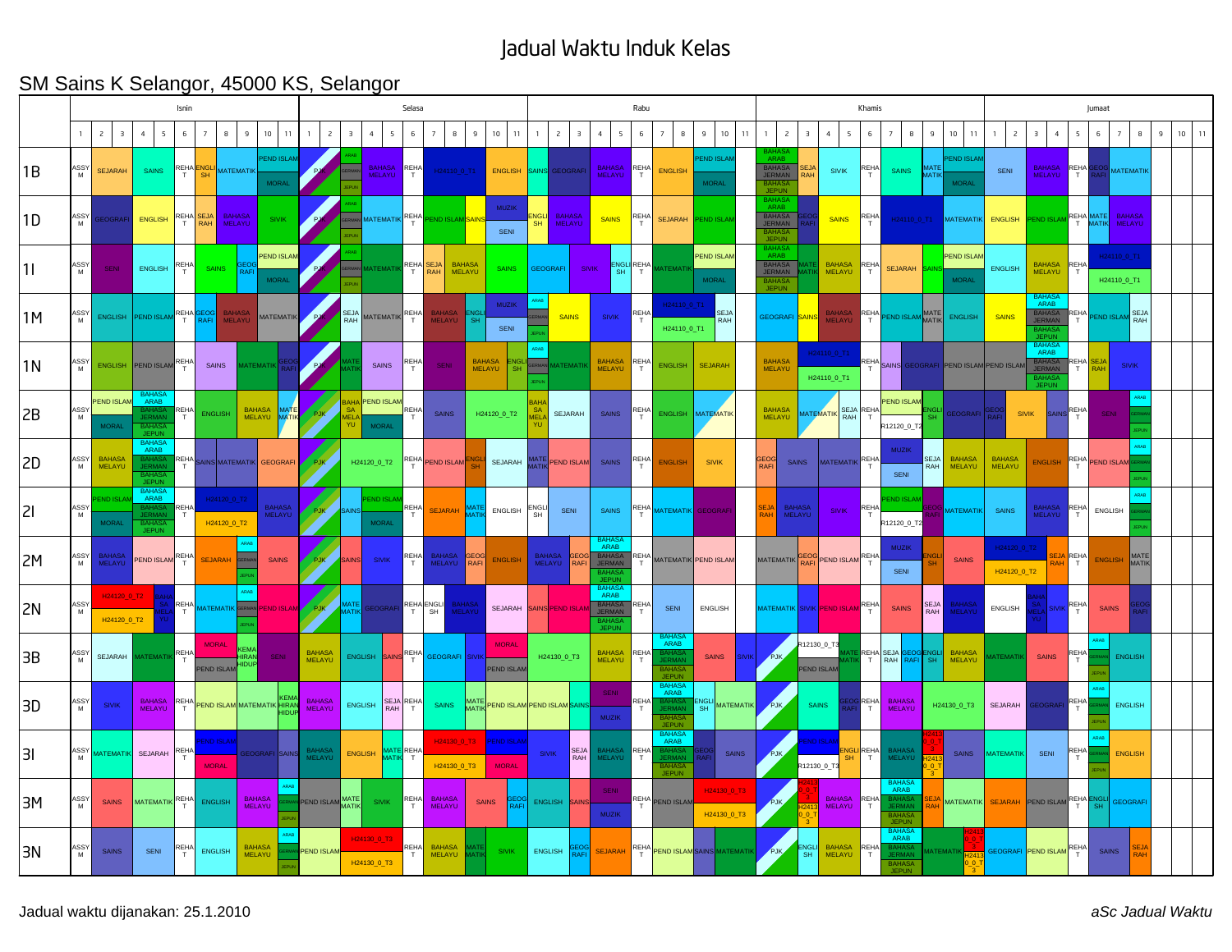## Jadual Waktu Induk Kelas

## SM Sains K Selangor, 45000 KS, Selangor

|    | Isnin     |                                           |                                                                |                  |                                   |                                |                                   |                                |                | Selasa                                    |                                  |                             |                                |                                |                                           |                         |                                           |                                                    | Rabu                   |                                                                           |                                   |                            |                                                                      |                         |                                         |           | Khamis                                                      | Jumaat                             |                                           |                                |                                                          |                  |                      |                            |             |         |  |
|----|-----------|-------------------------------------------|----------------------------------------------------------------|------------------|-----------------------------------|--------------------------------|-----------------------------------|--------------------------------|----------------|-------------------------------------------|----------------------------------|-----------------------------|--------------------------------|--------------------------------|-------------------------------------------|-------------------------|-------------------------------------------|----------------------------------------------------|------------------------|---------------------------------------------------------------------------|-----------------------------------|----------------------------|----------------------------------------------------------------------|-------------------------|-----------------------------------------|-----------|-------------------------------------------------------------|------------------------------------|-------------------------------------------|--------------------------------|----------------------------------------------------------|------------------|----------------------|----------------------------|-------------|---------|--|
|    |           | $\overline{c}$<br>$\overline{\mathbf{3}}$ | $\overline{4}$<br>5                                            | 6                | $\overline{7}$                    | 9<br>8                         | 10<br>$\vert$ 11                  | $\mathbf{1}$                   | $\overline{c}$ | $\overline{\mathbf{3}}$<br>$\overline{4}$ | 5                                | 6                           | $\bf{8}$<br>$\overline{7}$     | 9                              | 10<br>11                                  | $\overline{1}$          | $\overline{c}$<br>$\overline{\mathbf{3}}$ | $\overline{4}$<br>5                                | 6                      | 8<br>$\overline{7}$                                                       | 9                                 | 10<br>11                   | $\overline{c}$<br>$\mathbf{1}$                                       | $\overline{\mathbf{3}}$ | $\overline{4}$<br>5                     | 6         | $\overline{7}$<br>8                                         | 9                                  | 10<br>11                                  | $\overline{c}$<br>$\mathbf{1}$ | $\overline{3}$<br>$\overline{4}$                         | 5                | 6                    | $\overline{7}$<br>8        | $\mathsf g$ | $10$ 11 |  |
| 1B | ASSY<br>M | <b>SEJARAH</b>                            | <b>SAINS</b>                                                   | REHA ENGLI       |                                   | MATEMATIK                      | <b>PEND ISLAM</b><br><b>MORAL</b> |                                |                |                                           | BAHASA REHA                      |                             | H24110_0_T1                    |                                | ENGLISH                                   | SAINS                   | <b>GEOGRAF</b>                            | <b>BAHASA</b><br>MELAYU                            | REHA<br>T              | <b>ENGLISH</b>                                                            | <b>END ISLAM</b><br><b>MORAL</b>  |                            | <b>ARAF</b><br><b>BAHASA</b><br>JERMAN<br><b>BAHA</b><br><b>JEPU</b> | SEJ/<br>RAH             | <b>SIVIK</b>                            | REHA<br>T | <b>SAINS</b>                                                | <b>MATE</b><br>MATIK               | <b>END ISLAN</b><br><b>MORAL</b>          | SENI                           | BAHASA REHA                                              |                  |                      | <b>MATEMATIK</b>           |             |         |  |
| 1D | ASSY<br>M | EOGRAFI                                   | <b>ENGLISH</b>                                                 |                  | REHA <sup>SEJA</sup>              | <b>BAHASA</b><br>MELAYU        | <b>SIVIK</b>                      |                                |                |                                           | <b>MATEMATIK</b> REHA            |                             | <b>ND ISLAI</b>                |                                | <b>MUZIK</b><br>SENI                      | :NGLI<br>SH             | <b>BAHASA</b><br>MELAYU                   | <b>SAINS</b>                                       | REHA                   | <b>SEJARAH</b>                                                            | <b>END ISLA</b>                   |                            | <b>BAHA</b><br>ARAB<br>BAHASA<br>JERMAN<br><b>JEPUN</b>              |                         | <b>SAINS</b>                            | REHA      | H24110_0_T1                                                 |                                    | <b>MATEMATIK</b>                          | ENGLISH F                      | PEND ISLAM REHA MATE                                     |                  |                      | <b>BAHASA</b><br>MELAYU    |             |         |  |
| 1  | ASSY<br>M | <b>SENI</b>                               | <b>ENGLISH</b>                                                 | <b>REHA</b>      | <b>SAINS</b>                      | RAF                            | PEND ISLAM<br><b>MORAL</b>        |                                |                |                                           | <b>IATEMATIK</b>                 | REHA SEJA                   |                                | <b>BAHASA</b><br><b>MELAYU</b> | <b>SAINS</b>                              | <b>GEOGRAFI</b>         |                                           | <b>SIVIK</b><br>SH.                                | <b>ENGLI REHA</b><br>T | ATEMATI                                                                   | <b>PEND ISLAN</b><br><b>MORAL</b> |                            | ARAB<br>BAHASA<br>JERMAN<br><b>RAHASA</b><br><b>JEPUN</b>            |                         | <b>BAHASA</b><br><b>MELAYU</b>          | RFHA      | <b>SEJARAH</b>                                              |                                    | <b>PEND ISLAN</b><br><b>MORAL</b>         | <b>ENGLISH</b>                 | BAHASA REHA<br><b>MELAYU</b>                             | $\top$           |                      | H24110_0_T1<br>H24110 0_T1 |             |         |  |
| 1M | ASSY<br>M |                                           | ENGLISH PEND ISLAM REHA                                        |                  | <b>RAFI</b>                       | <b>BAHASA</b><br><b>MELAYU</b> | <b>MATEMATIK</b>                  |                                |                | SEJA<br>RAH                               | MATEMATIK REHA                   |                             | <b>BAHASA</b><br>MELAYU        | <b>SH</b>                      | <b>MUZIK</b><br>SENI                      |                         | <b>SAINS</b>                              | <b>SIVIK</b>                                       | REHA<br>$\top$         | H24110_0_T1<br>H24110_0_T1                                                |                                   | <b>SEJA</b><br>RAH         | GEOGRAFI <mark>SAINS</mark>                                          |                         | <b>BAHASA</b><br>MELAYU                 |           | REHA PEND ISLAM MATE                                        |                                    | <b>ENGLISH</b>                            | <b>SAINS</b>                   | BAHAS<br>BAHASA<br>JERMAN<br>JEPU                        | REHA             | <b>PEND ISLAM</b>    | <b>SEJA</b><br>RAH         |             |         |  |
| 1N | ASSY<br>M | ENGLISH                                   | PEND ISLAM                                                     | <b>REHA</b>      | SAINS                             |                                | ATEMATIK                          |                                |                |                                           | SAINS                            | REHA                        | <b>SENI</b>                    | <b>BAHASA</b><br>MELAYU        | ENGL<br>SH                                |                         | <b>ATEMATI</b>                            | <b>BAHASA</b><br>MELAYU                            | REHA<br>T              | <b>ENGLISH</b>                                                            | <b>SEJARAH</b>                    |                            | <b>BAHASA</b><br>MELAYU                                              |                         | H24110_0_T1<br>H24110_0_T1              |           |                                                             |                                    | REHA SAINS GEOGRAFI PEND ISLAM PEND ISLAM |                                | <b>BAHAS</b><br>ARAB<br><b>BAHASA</b><br>JERMAN<br>JEPUI |                  | REHA <sup>SEJA</sup> | <b>SIVIK</b>               |             |         |  |
| 2B | ASSY<br>M | <b>PEND ISLAM</b><br><b>MORAL</b>         | ARAB<br><b>BAHAS</b><br><b>JEPUN</b>                           |                  | REHA ENGLISH                      |                                | BAHASA MATE                       | PJK                            |                | <b>BAHA PEND ISLAM</b><br><b>SA</b>       | <b>MORAL</b>                     | REHA                        | <b>SAINS</b>                   |                                | H24120_0_T2                               |                         | SEJARAH                                   | <b>SAINS</b>                                       | REHA<br>$\mathsf{T}$   | <b>ENGLISH</b>                                                            | MATEMATIK                         |                            | <b>BAHASA</b><br><b>MELAYU</b>                                       |                         | <b>AATEMATIK</b><br><b>RAH</b>          | SEJA REHA | <b>PEND ISLAM</b><br>12120_0_1                              | NGL                                | GEOGRAFI                                  |                                | <b>SIVIK</b><br><b>AIN</b>                               | REHA             | <b>SENI</b>          |                            |             |         |  |
| 2D | ASSY      | <b>BAHASA</b><br>MELAYU                   | BAHASA<br>ARAB<br>BAHAS<br>JERMA<br><b>BAHA</b><br><b>JEPU</b> | <b>REHA</b>      |                                   |                                | AINS MATEMATIK GEOGRAFI           | <b>PJK</b>                     |                | H24120_0_T2                               |                                  | REHA                        | PEND ISLAM                     |                                | SEJARAH                                   |                         | ATIV PEND ISLAM                           | SAINS                                              | REHA                   | <b>FNGLISH</b>                                                            | <b>SIVIK</b>                      |                            | <b>GEOG</b><br>RAFI                                                  | <b>SAINS</b>            | MATEMATIK REHA                          | T         | <b>MUZIK</b><br>SENI                                        | SEJA<br>RAH                        | <b>BAHASA</b><br>MELAYU                   | <b>BAHASA</b><br>MELAYU        | <b>ENGLISH</b>                                           |                  | REHA PEND ISLAM      |                            |             |         |  |
| 21 | ASSY<br>M | <b>END ISLAM</b><br><b>MORAL</b>          | <b>BAHAS</b><br>ARAB<br>BAHASA<br>JERMAN<br>BAHASA<br>JEPUN    | <b>REHA</b><br>T | H24120_0_T2                       | H24120_0_T2                    | BAHASA<br>MELAYU                  | PJK                            |                |                                           | <b>END ISLAI</b><br><b>MORAL</b> | REHA                        | <b>SEJARAH</b>                 |                                | ENGLISH                                   | ENGLI<br>SH             | SENI                                      | SAINS                                              | <b>REHA</b>            | <b>IATEMATIK</b>                                                          | GEOGRAF                           |                            |                                                                      | BAHASA<br>MELAYU        | <b>SIVIK</b>                            | REHA      | END ISLAI<br>R12120_0_T2                                    |                                    | <b>MATEMATIK</b>                          | <b>SAINS</b>                   | <b>BAHASA</b><br>MELAYU                                  | REHA             | <b>ENGLISH</b>       |                            |             |         |  |
| 2M | ASSY<br>M | <b>BAHASA</b><br>MELAYU                   | PEND ISLAM REHA                                                |                  | <b>SEJARAH</b>                    | <b>SRAP</b>                    | <b>SAINS</b>                      | PJK                            |                | <b>SAINS</b>                              | <b>SIVIK</b>                     | <b>REHA</b><br>T.           | <b>BAHASA</b><br>MELAYU        | GEOG<br>RAFI                   | <b>ENGLISH</b>                            | <b>BAHASA</b><br>MELAYU | <b>RAFI</b>                               | <b>ARAB</b><br>BAHASA<br>JERMAN<br>BAHAS.<br>JEPUN |                        | REHA MATEMATIK PEND ISLAM                                                 |                                   |                            | MATEMATIK                                                            | iEOG                    | PEND ISLAM REHA                         |           | <b>MUZIK</b><br>SENI                                        |                                    | <b>SAINS</b>                              | H24120 0 T2<br>H24120_0_T2     |                                                          | <b>SEJA</b> REHA | ENGLISH              | MATE<br>MATIK              |             |         |  |
| 2N | ASSY<br>M | H24120_0_T2<br>H24120 0 T2                |                                                                |                  | REHA MATEMATIK GERMAN PEND ISLAM  |                                |                                   | PJK                            |                | AATE<br>MATI                              | GEOGRAFI                         | REHA ENGLI                  |                                | <b>BAHASA</b><br>MELAYU        | SEJARAH                                   |                         | SAINS PEND ISLA                           | BAHASA<br>ARAB<br><b>BAHASA</b><br>JERMAN          | REHA<br>T              | SENI                                                                      | <b>ENGLISH</b>                    |                            |                                                                      |                         | MATEMATIK SIVIK <mark>PEND ISLAM</mark> | REHA      | <b>SAINS</b>                                                | SEJA<br>RAH                        | BAHASA<br>MELAYU                          | ENGLISH                        |                                                          | REHA             | <b>SAINS</b>         |                            |             |         |  |
| 3B | ASSY<br>M | SEJARAH                                   | MATEMATIK REHA                                                 |                  | <b>MORAL</b><br><b>PEND ISLAM</b> |                                | SENI                              | <b>BAHASA</b><br>MELAYU        |                | ENGLISH SAINS                             |                                  | REHA                        | GEOGRAFI SIVI                  |                                | <b>MORAL</b><br><b>PEND ISLAN</b>         |                         | H24130_0_T3                               | <b>BAHASA</b><br>MELAYU                            | REHA<br>T              | <b>BAHAS</b><br>ARAB<br>BAHASA<br>JERMAN<br><b>BAHASA</b><br><b>JEPUN</b> | <b>SAINS</b>                      |                            | PJK                                                                  | R12130_0_T3             | <b>PEND ISLAM</b>                       |           | REHASEJA                                                    | SEOG <mark>ENGLI</mark><br>RAFI SH | <b>BAHASA</b><br>MELAYU                   | <b>ATEMATI</b>                 | <b>SAINS</b>                                             | REHA             |                      | <b>ENGLISH</b>             |             |         |  |
| 3D | ASSY<br>M | <b>SIVIK</b>                              | BAHASA REHA PEND ISLAM MATEMATIK HIRAN<br>MELAYU               |                  |                                   |                                |                                   | <b>BAHASA</b><br><b>MELAYU</b> |                | ENGLISH RAH                               |                                  | SEJA REHA                   | SAINS                          |                                | MATE PEND ISLAM PEND ISLAM <mark>S</mark> |                         |                                           | <b>SENI</b><br><b>MUZIK</b>                        | REHA<br>$\top$         | BAHAS/<br>ARAB<br>BAHASA<br>JEPUN                                         |                                   | NGLI MATEMATIK             | PJK,                                                                 |                         | <b>SAINS</b>                            | REHA<br>T | <b>BAHASA</b><br><b>MELAYU</b>                              |                                    | H24130_0_T3                               | SEJARAH                        | EOGRAF                                                   | REH/             |                      | ENGLISH                    |             |         |  |
| 31 |           | ASSY MATEMATIK SEJARAH                    |                                                                | REH/             | ND ISLAM<br><b>MORAL</b>          |                                | GEOGRAFI SAINS                    | <b>BAHASA</b><br>MELAYU        |                | <b>ENGLISH</b>                            | <b>AAT</b>                       | <b>ATE</b> REHA             | H24130_0_T3<br>H24130_0_T3     |                                | <b>PEND ISLAI</b><br><b>MORAL</b>         | <b>SIVIK</b>            | SEJA<br>RAH                               | <b>BAHASA</b><br>MELAYU                            | REHA<br>T              | BAHASA<br>ARAB<br>B <mark>AHASA</mark><br>IERMAN<br><b>JEPUN</b>          |                                   | SAINS                      | <b>PJK</b>                                                           |                         | ND ISLA<br>R12130_0_T3                  | REHA<br>T | BAHASA<br>MELAYU                                            |                                    | <b>SAINS</b>                              | <b>MATEMATIK</b>               | SENI                                                     | REHA             |                      | <b>ENGLISH</b>             |             |         |  |
| 3M | ASSY      | <b>SAINS</b>                              | MATEMATIK <sup>REHA</sup>                                      |                  | <b>ENGLISH</b>                    | <b>BAHASA</b><br>MELAYU        |                                   | PEND ISLAM MATE                |                |                                           | <b>SIVIK</b>                     | REHA                        | <b>BAHASA</b><br>MELAYU        |                                | <b>SAINS</b><br>₹ĀFI                      | ENGLISH                 | <b>SAINS</b>                              | SENI<br><b>MUZIK</b>                               |                        | REHA PEND ISLAM                                                           |                                   | H24130 0 T3<br>H24130_0_T3 | PJK                                                                  |                         | <b>BAHASA</b><br>MELAYU                 | REHA      | <b>BAHAS</b><br>ARAB<br>BAHASA<br>JERMAN<br>BAHAS/<br>JEPUN |                                    | <b>MATEMATIK</b>                          |                                | SEJARAH PEND ISLAM REHA                                  |                  |                      | <b>GEOGRAF</b>             |             |         |  |
| 3N | ASSY<br>M | SAINS                                     | SENI                                                           | <b>REHA</b>      | ENGLISH                           |                                | <b>BAHASA</b><br>MELAYU           | <b>PEND ISLAM</b>              |                | H24130_0_T3<br>H24130_0_T3                |                                  | <b>REHA</b><br>$\mathsf{T}$ | <b>BAHASA</b><br><b>MELAYU</b> |                                | <b>SIVIK</b>                              | ENGLISH                 | <b>PAEL</b>                               | <b>SEJARAH</b>                                     |                        | REHA PEND ISLAM SAINS MATEMATIK                                           |                                   |                            | PJK,                                                                 | <b>NGL</b><br>SH        | <b>BAHASA</b><br><b>MELAYU</b>          | REHA      | BAHASA<br>ARAB<br>AHAS/<br><b>BAHASA</b><br>JEPUN           |                                    | <b>MATEMATIK</b>                          |                                | GEOGRAFI PEND ISLAM REHA                                 |                  | <b>SAINS</b>         |                            |             |         |  |